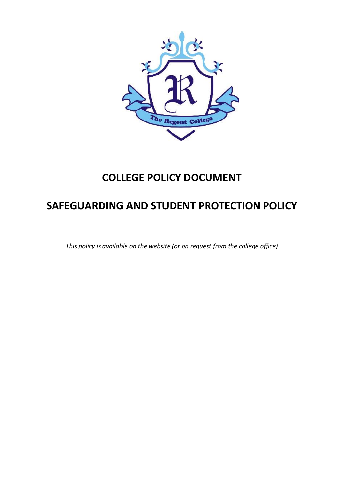

# **COLLEGE POLICY DOCUMENT**

# **SAFEGUARDING AND STUDENT PROTECTION POLICY**

*This policy is available on the website (or on request from the college office)*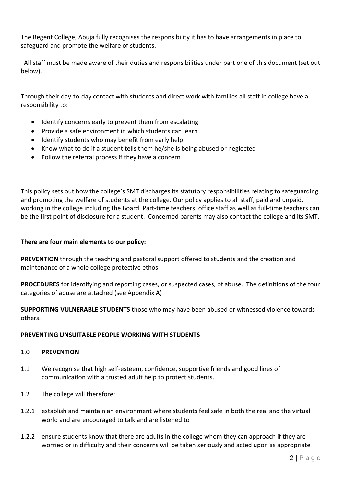The Regent College, Abuja fully recognises the responsibility it has to have arrangements in place to safeguard and promote the welfare of students.

 All staff must be made aware of their duties and responsibilities under part one of this document (set out below).

Through their day-to-day contact with students and direct work with families all staff in college have a responsibility to:

- Identify concerns early to prevent them from escalating
- Provide a safe environment in which students can learn
- Identify students who may benefit from early help
- Know what to do if a student tells them he/she is being abused or neglected
- Follow the referral process if they have a concern

This policy sets out how the college's SMT discharges its statutory responsibilities relating to safeguarding and promoting the welfare of students at the college. Our policy applies to all staff, paid and unpaid, working in the college including the Board. Part-time teachers, office staff as well as full-time teachers can be the first point of disclosure for a student. Concerned parents may also contact the college and its SMT.

#### **There are four main elements to our policy:**

**PREVENTION** through the teaching and pastoral support offered to students and the creation and maintenance of a whole college protective ethos

**PROCEDURES** for identifying and reporting cases, or suspected cases, of abuse. The definitions of the four categories of abuse are attached (see Appendix A)

**SUPPORTING VULNERABLE STUDENTS** those who may have been abused or witnessed violence towards others.

#### **PREVENTING UNSUITABLE PEOPLE WORKING WITH STUDENTS**

#### 1.0 **PREVENTION**

- 1.1 We recognise that high self-esteem, confidence, supportive friends and good lines of communication with a trusted adult help to protect students.
- 1.2 The college will therefore:
- 1.2.1 establish and maintain an environment where students feel safe in both the real and the virtual world and are encouraged to talk and are listened to
- 1.2.2 ensure students know that there are adults in the college whom they can approach if they are worried or in difficulty and their concerns will be taken seriously and acted upon as appropriate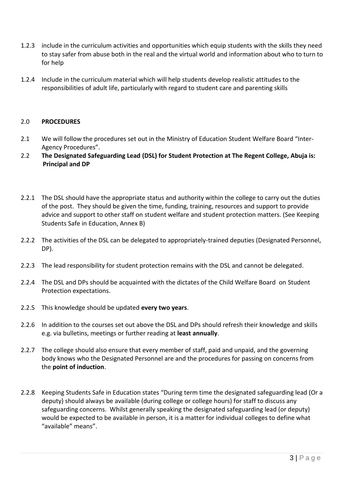- 1.2.3 include in the curriculum activities and opportunities which equip students with the skills they need to stay safer from abuse both in the real and the virtual world and information about who to turn to for help
- 1.2.4 Include in the curriculum material which will help students develop realistic attitudes to the responsibilities of adult life, particularly with regard to student care and parenting skills

#### 2.0 **PROCEDURES**

- 2.1 We will follow the procedures set out in the Ministry of Education Student Welfare Board "Inter-Agency Procedures".
- 2.2 **The Designated Safeguarding Lead (DSL) for Student Protection at The Regent College, Abuja is: Principal and DP**
- 2.2.1 The DSL should have the appropriate status and authority within the college to carry out the duties of the post. They should be given the time, funding, training, resources and support to provide advice and support to other staff on student welfare and student protection matters. (See Keeping Students Safe in Education, Annex B)
- 2.2.2 The activities of the DSL can be delegated to appropriately-trained deputies (Designated Personnel, DP).
- 2.2.3 The lead responsibility for student protection remains with the DSL and cannot be delegated.
- 2.2.4 The DSL and DPs should be acquainted with the dictates of the Child Welfare Board on Student Protection expectations.
- 2.2.5 This knowledge should be updated **every two years**.
- 2.2.6 In addition to the courses set out above the DSL and DPs should refresh their knowledge and skills e.g. via bulletins, meetings or further reading at **least annually**.
- 2.2.7 The college should also ensure that every member of staff, paid and unpaid, and the governing body knows who the Designated Personnel are and the procedures for passing on concerns from the **point of induction**.
- 2.2.8 Keeping Students Safe in Education states "During term time the designated safeguarding lead (Or a deputy) should always be available (during college or college hours) for staff to discuss any safeguarding concerns. Whilst generally speaking the designated safeguarding lead (or deputy) would be expected to be available in person, it is a matter for individual colleges to define what "available" means".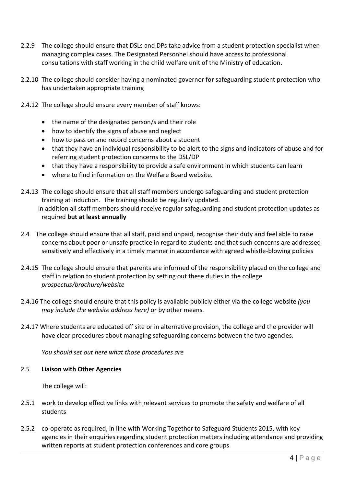- 2.2.9 The college should ensure that DSLs and DPs take advice from a student protection specialist when managing complex cases. The Designated Personnel should have access to professional consultations with staff working in the child welfare unit of the Ministry of education.
- 2.2.10 The college should consider having a nominated governor for safeguarding student protection who has undertaken appropriate training
- 2.4.12 The college should ensure every member of staff knows:
	- the name of the designated person/s and their role
	- how to identify the signs of abuse and neglect
	- how to pass on and record concerns about a student
	- that they have an individual responsibility to be alert to the signs and indicators of abuse and for referring student protection concerns to the DSL/DP
	- that they have a responsibility to provide a safe environment in which students can learn
	- where to find information on the Welfare Board website.
- 2.4.13 The college should ensure that all staff members undergo safeguarding and student protection training at induction. The training should be regularly updated. In addition all staff members should receive regular safeguarding and student protection updates as required **but at least annually**
- 2.4 The college should ensure that all staff, paid and unpaid, recognise their duty and feel able to raise concerns about poor or unsafe practice in regard to students and that such concerns are addressed sensitively and effectively in a timely manner in accordance with agreed whistle-blowing policies
- 2.4.15 The college should ensure that parents are informed of the responsibility placed on the college and staff in relation to student protection by setting out these duties in the college *prospectus/brochure/website*
- 2.4.16 The college should ensure that this policy is available publicly either via the college website *(you may include the website address here)* or by other means*.*
- 2.4.17 Where students are educated off site or in alternative provision, the college and the provider will have clear procedures about managing safeguarding concerns between the two agencies.

*You should set out here what those procedures are*

#### 2.5 **Liaison with Other Agencies**

The college will:

- 2.5.1 work to develop effective links with relevant services to promote the safety and welfare of all students
- 2.5.2 co-operate as required, in line with Working Together to Safeguard Students 2015, with key agencies in their enquiries regarding student protection matters including attendance and providing written reports at student protection conferences and core groups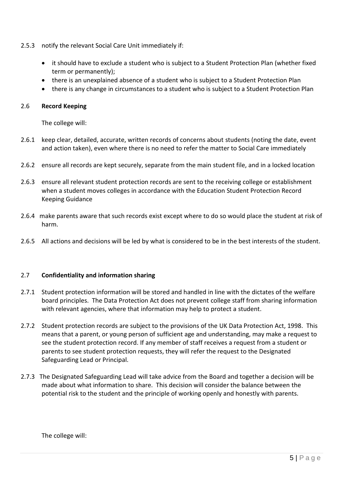- 2.5.3 notify the relevant Social Care Unit immediately if:
	- it should have to exclude a student who is subject to a Student Protection Plan (whether fixed term or permanently);
	- there is an unexplained absence of a student who is subject to a Student Protection Plan
	- there is any change in circumstances to a student who is subject to a Student Protection Plan

#### 2.6 **Record Keeping**

The college will:

- 2.6.1 keep clear, detailed, accurate, written records of concerns about students (noting the date, event and action taken), even where there is no need to refer the matter to Social Care immediately
- 2.6.2 ensure all records are kept securely, separate from the main student file, and in a locked location
- 2.6.3 ensure all relevant student protection records are sent to the receiving college or establishment when a student moves colleges in accordance with the Education Student Protection Record Keeping Guidance
- 2.6.4 make parents aware that such records exist except where to do so would place the student at risk of harm.
- 2.6.5 All actions and decisions will be led by what is considered to be in the best interests of the student.

# 2.7 **Confidentiality and information sharing**

- 2.7.1 Student protection information will be stored and handled in line with the dictates of the welfare board principles. The Data Protection Act does not prevent college staff from sharing information with relevant agencies, where that information may help to protect a student.
- 2.7.2 Student protection records are subject to the provisions of the UK Data Protection Act, 1998. This means that a parent, or young person of sufficient age and understanding, may make a request to see the student protection record. If any member of staff receives a request from a student or parents to see student protection requests, they will refer the request to the Designated Safeguarding Lead or Principal.
- 2.7.3 The Designated Safeguarding Lead will take advice from the Board and together a decision will be made about what information to share. This decision will consider the balance between the potential risk to the student and the principle of working openly and honestly with parents.

The college will: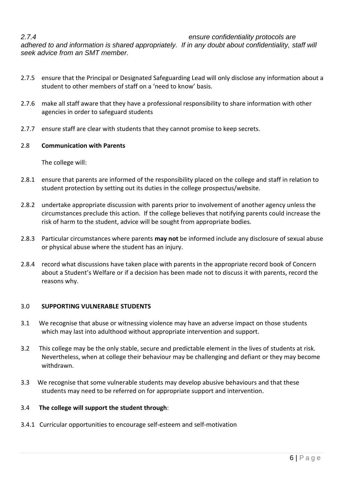*2.7.4 ensure confidentiality protocols are* 

*adhered to and information is shared appropriately. If in any doubt about confidentiality, staff will seek advice from an SMT member.*

- 2.7.5 ensure that the Principal or Designated Safeguarding Lead will only disclose any information about a student to other members of staff on a 'need to know' basis.
- 2.7.6 make all staff aware that they have a professional responsibility to share information with other agencies in order to safeguard students
- 2.7.7 ensure staff are clear with students that they cannot promise to keep secrets.

# 2.8 **Communication with Parents**

The college will:

- 2.8.1 ensure that parents are informed of the responsibility placed on the college and staff in relation to student protection by setting out its duties in the college prospectus/website.
- 2.8.2 undertake appropriate discussion with parents prior to involvement of another agency unless the circumstances preclude this action. If the college believes that notifying parents could increase the risk of harm to the student, advice will be sought from appropriate bodies*.*
- 2.8.3 Particular circumstances where parents **may not** be informed include any disclosure of sexual abuse or physical abuse where the student has an injury.
- 2.8.4 record what discussions have taken place with parents in the appropriate record book of Concern about a Student's Welfare or if a decision has been made not to discuss it with parents, record the reasons why.

# 3.0 **SUPPORTING VULNERABLE STUDENTS**

- 3.1 We recognise that abuse or witnessing violence may have an adverse impact on those students which may last into adulthood without appropriate intervention and support.
- 3.2 This college may be the only stable, secure and predictable element in the lives of students at risk. Nevertheless, when at college their behaviour may be challenging and defiant or they may become withdrawn.
- 3.3 We recognise that some vulnerable students may develop abusive behaviours and that these students may need to be referred on for appropriate support and intervention.

# 3.4 **The college will support the student through**:

3.4.1 Curricular opportunities to encourage self-esteem and self-motivation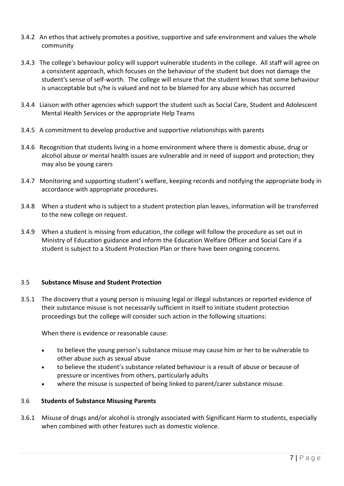- 3.4.2 An ethos that actively promotes a positive, supportive and safe environment and values the whole community
- 3.4.3 The college's behaviour policy will support vulnerable students in the college. All staff will agree on a consistent approach, which focuses on the behaviour of the student but does not damage the student's sense of self-worth. The college will ensure that the student knows that some behaviour is unacceptable but s/he is valued and not to be blamed for any abuse which has occurred
- 3.4.4 Liaison with other agencies which support the student such as Social Care, Student and Adolescent Mental Health Services or the appropriate Help Teams
- 3.4.5 A commitment to develop productive and supportive relationships with parents
- 3.4.6 Recognition that students living in a home environment where there is domestic abuse, drug or alcohol abuse or mental health issues are vulnerable and in need of support and protection; they may also be young carers
- 3.4.7 Monitoring and supporting student's welfare, keeping records and notifying the appropriate body in accordance with appropriate procedures.
- 3.4.8 When a student who is subject to a student protection plan leaves, information will be transferred to the new college on request.
- 3.4.9 When a student is missing from education, the college will follow the procedure as set out in Ministry of Education guidance and inform the Education Welfare Officer and Social Care if a student is subject to a Student Protection Plan or there have been ongoing concerns.

# 3.5 **Substance Misuse and Student Protection**

3.5.1 The discovery that a young person is misusing legal or illegal substances or reported evidence of their substance misuse is not necessarily sufficient in itself to initiate student protection proceedings but the college will consider such action in the following situations:

When there is evidence or reasonable cause:

- to believe the young person's substance misuse may cause him or her to be vulnerable to other abuse such as sexual abuse
- to believe the student's substance related behaviour is a result of abuse or because of pressure or incentives from others, particularly adults
- where the misuse is suspected of being linked to parent/carer substance misuse.

# 3.6 **Students of Substance Misusing Parents**

3.6.1 Misuse of drugs and/or alcohol is strongly associated with Significant Harm to students, especially when combined with other features such as domestic violence.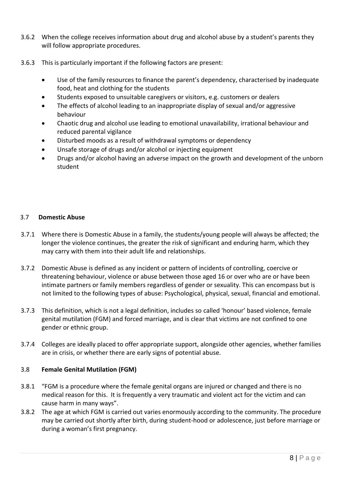- 3.6.2 When the college receives information about drug and alcohol abuse by a student's parents they will follow appropriate procedures.
- 3.6.3 This is particularly important if the following factors are present:
	- Use of the family resources to finance the parent's dependency, characterised by inadequate food, heat and clothing for the students
	- Students exposed to unsuitable caregivers or visitors, e.g. customers or dealers
	- The effects of alcohol leading to an inappropriate display of sexual and/or aggressive behaviour
	- Chaotic drug and alcohol use leading to emotional unavailability, irrational behaviour and reduced parental vigilance
	- Disturbed moods as a result of withdrawal symptoms or dependency
	- Unsafe storage of drugs and/or alcohol or injecting equipment
	- Drugs and/or alcohol having an adverse impact on the growth and development of the unborn student

#### 3.7 **Domestic Abuse**

- 3.7.1 Where there is Domestic Abuse in a family, the students/young people will always be affected; the longer the violence continues, the greater the risk of significant and enduring harm, which they may carry with them into their adult life and relationships.
- 3.7.2 Domestic Abuse is defined as any incident or pattern of incidents of controlling, coercive or threatening behaviour, violence or abuse between those aged 16 or over who are or have been intimate partners or family members regardless of gender or sexuality. This can encompass but is not limited to the following types of abuse: Psychological, physical, sexual, financial and emotional.
- 3.7.3 This definition, which is not a legal definition, includes so called 'honour' based violence, female genital mutilation (FGM) and forced marriage, and is clear that victims are not confined to one gender or ethnic group.
- 3.7.4 Colleges are ideally placed to offer appropriate support, alongside other agencies, whether families are in crisis, or whether there are early signs of potential abuse.

# 3.8 **Female Genital Mutilation (FGM)**

- 3.8.1 "FGM is a procedure where the female genital organs are injured or changed and there is no medical reason for this. It is frequently a very traumatic and violent act for the victim and can cause harm in many ways".
- 3.8.2 The age at which FGM is carried out varies enormously according to the community. The procedure may be carried out shortly after birth, during student-hood or adolescence, just before marriage or during a woman's first pregnancy.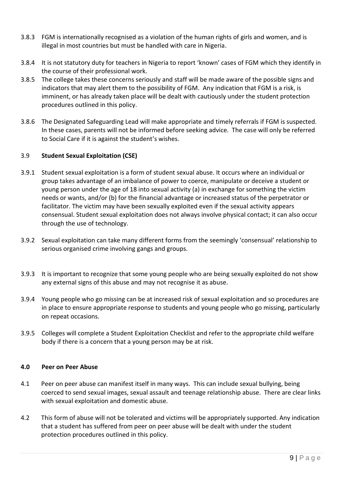- 3.8.3 FGM is internationally recognised as a violation of the human rights of girls and women, and is illegal in most countries but must be handled with care in Nigeria.
- 3.8.4 It is not statutory duty for teachers in Nigeria to report 'known' cases of FGM which they identify in the course of their professional work.
- 3.8.5 The college takes these concerns seriously and staff will be made aware of the possible signs and indicators that may alert them to the possibility of FGM. Any indication that FGM is a risk, is imminent, or has already taken place will be dealt with cautiously under the student protection procedures outlined in this policy.
- 3.8.6 The Designated Safeguarding Lead will make appropriate and timely referrals if FGM is suspected. In these cases, parents will not be informed before seeking advice. The case will only be referred to Social Care if it is against the student's wishes.

# 3.9 **Student Sexual Exploitation (CSE)**

- 3.9.1 Student sexual exploitation is a form of student sexual abuse. It occurs where an individual or group takes advantage of an imbalance of power to coerce, manipulate or deceive a student or young person under the age of 18 into sexual activity (a) in exchange for something the victim needs or wants, and/or (b) for the financial advantage or increased status of the perpetrator or facilitator. The victim may have been sexually exploited even if the sexual activity appears consensual. Student sexual exploitation does not always involve physical contact; it can also occur through the use of technology.
- 3.9.2 Sexual exploitation can take many different forms from the seemingly 'consensual' relationship to serious organised crime involving gangs and groups.
- 3.9.3 It is important to recognize that some young people who are being sexually exploited do not show any external signs of this abuse and may not recognise it as abuse.
- 3.9.4 Young people who go missing can be at increased risk of sexual exploitation and so procedures are in place to ensure appropriate response to students and young people who go missing, particularly on repeat occasions.
- 3.9.5 Colleges will complete a Student Exploitation Checklist and refer to the appropriate child welfare body if there is a concern that a young person may be at risk.

# **4.0 Peer on Peer Abuse**

- 4.1 Peer on peer abuse can manifest itself in many ways. This can include sexual bullying, being coerced to send sexual images, sexual assault and teenage relationship abuse. There are clear links with sexual exploitation and domestic abuse.
- 4.2 This form of abuse will not be tolerated and victims will be appropriately supported. Any indication that a student has suffered from peer on peer abuse will be dealt with under the student protection procedures outlined in this policy.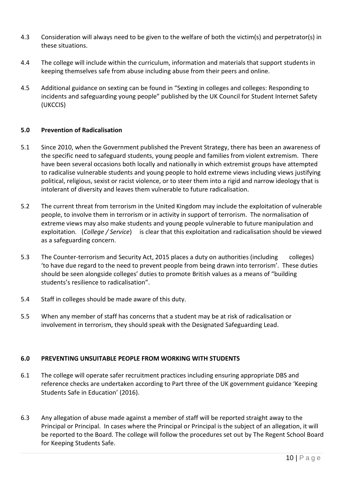- 4.3 Consideration will always need to be given to the welfare of both the victim(s) and perpetrator(s) in these situations.
- 4.4 The college will include within the curriculum, information and materials that support students in keeping themselves safe from abuse including abuse from their peers and online.
- 4.5 Additional guidance on sexting can be found in "Sexting in colleges and colleges: Responding to incidents and safeguarding young people" published by the UK Council for Student Internet Safety (UKCCIS)

# **5.0 Prevention of Radicalisation**

- 5.1 Since 2010, when the Government published the Prevent Strategy, there has been an awareness of the specific need to safeguard students, young people and families from violent extremism. There have been several occasions both locally and nationally in which extremist groups have attempted to radicalise vulnerable students and young people to hold extreme views including views justifying political, religious, sexist or racist violence, or to steer them into a rigid and narrow ideology that is intolerant of diversity and leaves them vulnerable to future radicalisation.
- 5.2 The current threat from terrorism in the United Kingdom may include the exploitation of vulnerable people, to involve them in terrorism or in activity in support of terrorism. The normalisation of extreme views may also make students and young people vulnerable to future manipulation and exploitation. (*College / Service*) is clear that this exploitation and radicalisation should be viewed as a safeguarding concern.
- 5.3 The Counter-terrorism and Security Act, 2015 places a duty on authorities (including colleges) 'to have due regard to the need to prevent people from being drawn into terrorism'. These duties should be seen alongside colleges' duties to promote British values as a means of "building students's resilience to radicalisation".
- 5.4 Staff in colleges should be made aware of this duty.
- 5.5 When any member of staff has concerns that a student may be at risk of radicalisation or involvement in terrorism, they should speak with the Designated Safeguarding Lead.

# **6.0 PREVENTING UNSUITABLE PEOPLE FROM WORKING WITH STUDENTS**

- 6.1 The college will operate safer recruitment practices including ensuring appropriate DBS and reference checks are undertaken according to Part three of the UK government guidance 'Keeping Students Safe in Education' (2016).
- 6.3 Any allegation of abuse made against a member of staff will be reported straight away to the Principal or Principal. In cases where the Principal or Principal is the subject of an allegation, it will be reported to the Board. The college will follow the procedures set out by The Regent School Board for Keeping Students Safe.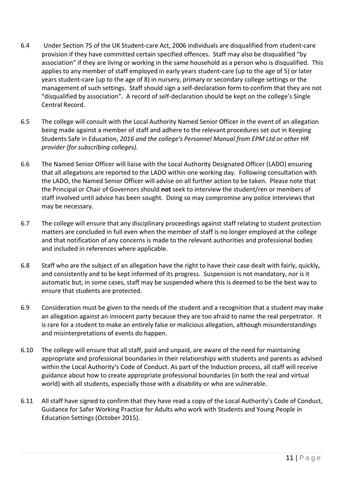- 6.4 Under Section 75 of the UK Student-care Act, 2006 individuals are disqualified from student-care provision if they have committed certain specified offences. Staff may also be disqualified "by association" if they are living or working in the same household as a person who is disqualified. This applies to any member of staff employed in early years student-care (up to the age of 5) or later years student-care (up to the age of 8) in nursery, primary or secondary college settings or the management of such settings. Staff should sign a self-declaration form to confirm that they are not "disqualified by association". A record of self-declaration should be kept on the college's Single Central Record.
- 6.5 The college will consult with the Local Authority Named Senior Officer in the event of an allegation being made against a member of staff and adhere to the relevant procedures set out in Keeping Students Safe in Education, *2016 and the college's Personnel Manual from EPM Ltd or other HR provider (for subscribing colleges).*
- 6.6 The Named Senior Officer will liaise with the Local Authority Designated Officer (LADO) ensuring that all allegations are reported to the LADO within one working day. Following consultation with the LADO, the Named Senior Officer will advise on all further action to be taken. Please note that the Principal or Chair of Governors should **not** seek to interview the student/ren or members of staff involved until advice has been sought. Doing so may compromise any police interviews that may be necessary.
- 6.7 The college will ensure that any disciplinary proceedings against staff relating to student protection matters are concluded in full even when the member of staff is no longer employed at the college and that notification of any concerns is made to the relevant authorities and professional bodies and included in references where applicable.
- 6.8 Staff who are the subject of an allegation have the right to have their case dealt with fairly, quickly, and consistently and to be kept informed of its progress. Suspension is not mandatory, nor is it automatic but, in some cases, staff may be suspended where this is deemed to be the best way to ensure that students are protected.
- 6.9 Consideration must be given to the needs of the student and a recognition that a student may make an allegation against an innocent party because they are too afraid to name the real perpetrator. It is rare for a student to make an entirely false or malicious allegation, although misunderstandings and misinterpretations of events do happen.
- 6.10 The college will ensure that all staff, paid and unpaid, are aware of the need for maintaining appropriate and professional boundaries in their relationships with students and parents as advised within the Local Authority's Code of Conduct. As part of the Induction process, all staff will receive guidance about how to create appropriate professional boundaries (in both the real and virtual world) with all students, especially those with a disability or who are vulnerable.
- 6.11 All staff have signed to confirm that they have read a copy of the Local Authority's Code of Conduct, Guidance for Safer Working Practice for Adults who work with Students and Young People in Education Settings (October 2015).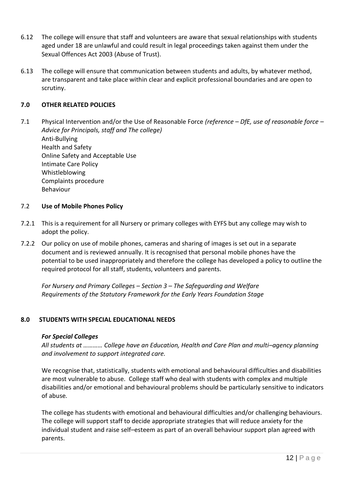- 6.12 The college will ensure that staff and volunteers are aware that sexual relationships with students aged under 18 are unlawful and could result in legal proceedings taken against them under the Sexual Offences Act 2003 (Abuse of Trust).
- 6.13 The college will ensure that communication between students and adults, by whatever method, are transparent and take place within clear and explicit professional boundaries and are open to scrutiny.

#### **7.0 OTHER RELATED POLICIES**

7.1 Physical Intervention and/or the Use of Reasonable Force *(reference – DfE, use of reasonable force – Advice for Principals, staff and The college)*

Anti-Bullying Health and Safety Online Safety and Acceptable Use Intimate Care Policy Whistleblowing Complaints procedure Behaviour

#### 7.2 **Use of Mobile Phones Policy**

- 7.2.1 This is a requirement for all Nursery or primary colleges with EYFS but any college may wish to adopt the policy.
- 7.2.2 Our policy on use of mobile phones, cameras and sharing of images is set out in a separate document and is reviewed annually. It is recognised that personal mobile phones have the potential to be used inappropriately and therefore the college has developed a policy to outline the required protocol for all staff, students, volunteers and parents.

*For Nursery and Primary Colleges – Section 3 – The Safeguarding and Welfare Requirements of the Statutory Framework for the Early Years Foundation Stage*

#### **8.0 STUDENTS WITH SPECIAL EDUCATIONAL NEEDS**

#### *For Special Colleges*

*All students at ………… College have an Education, Health and Care Plan and multi–agency planning and involvement to support integrated care.*

We recognise that, statistically, students with emotional and behavioural difficulties and disabilities are most vulnerable to abuse. College staff who deal with students with complex and multiple disabilities and/or emotional and behavioural problems should be particularly sensitive to indicators of abuse*.* 

The college has students with emotional and behavioural difficulties and/or challenging behaviours. The college will support staff to decide appropriate strategies that will reduce anxiety for the individual student and raise self–esteem as part of an overall behaviour support plan agreed with parents.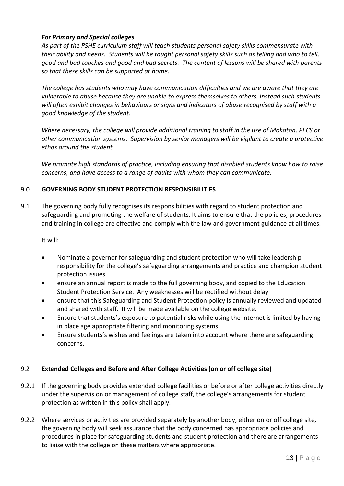# *For Primary and Special colleges*

*As part of the PSHE curriculum staff will teach students personal safety skills commensurate with their ability and needs. Students will be taught personal safety skills such as telling and who to tell, good and bad touches and good and bad secrets. The content of lessons will be shared with parents so that these skills can be supported at home.*

*The college has students who may have communication difficulties and we are aware that they are vulnerable to abuse because they are unable to express themselves to others. Instead such students will often exhibit changes in behaviours or signs and indicators of abuse recognised by staff with a good knowledge of the student.* 

*Where necessary, the college will provide additional training to staff in the use of Makaton, PECS or other communication systems. Supervision by senior managers will be vigilant to create a protective ethos around the student.* 

*We promote high standards of practice, including ensuring that disabled students know how to raise concerns, and have access to a range of adults with whom they can communicate.*

# 9.0 **GOVERNING BODY STUDENT PROTECTION RESPONSIBILITIES**

9.1 The governing body fully recognises its responsibilities with regard to student protection and safeguarding and promoting the welfare of students. It aims to ensure that the policies, procedures and training in college are effective and comply with the law and government guidance at all times.

It will:

- Nominate a governor for safeguarding and student protection who will take leadership responsibility for the college's safeguarding arrangements and practice and champion student protection issues
- ensure an annual report is made to the full governing body, and copied to the Education Student Protection Service. Any weaknesses will be rectified without delay
- ensure that this Safeguarding and Student Protection policy is annually reviewed and updated and shared with staff. It will be made available on the college website.
- Ensure that students's exposure to potential risks while using the internet is limited by having in place age appropriate filtering and monitoring systems.
- Ensure students's wishes and feelings are taken into account where there are safeguarding concerns.

# 9.2 **Extended Colleges and Before and After College Activities (on or off college site)**

- 9.2.1 If the governing body provides extended college facilities or before or after college activities directly under the supervision or management of college staff, the college's arrangements for student protection as written in this policy shall apply.
- 9.2.2 Where services or activities are provided separately by another body, either on or off college site, the governing body will seek assurance that the body concerned has appropriate policies and procedures in place for safeguarding students and student protection and there are arrangements to liaise with the college on these matters where appropriate.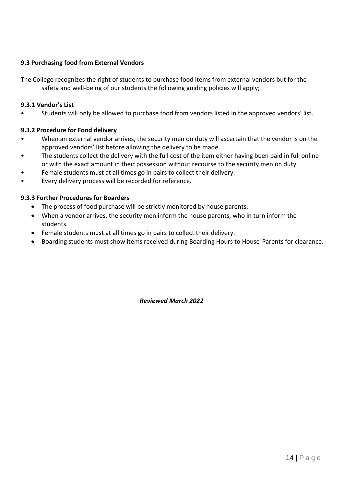# **9.3 Purchasing food from External Vendors**

The College recognizes the right of students to purchase food items from external vendors but for the safety and well-being of our students the following guiding policies will apply;

#### **9.3.1 Vendor's List**

• Students will only be allowed to purchase food from vendors listed in the approved vendors' list.

#### **9.3.2 Procedure for Food delivery**

- When an external vendor arrives, the security men on duty will ascertain that the vendor is on the approved vendors' list before allowing the delivery to be made.
- The students collect the delivery with the full cost of the item either having been paid in full online or with the exact amount in their possession without recourse to the security men on duty.
- Female students must at all times go in pairs to collect their delivery.
- Every delivery process will be recorded for reference.

#### **9.3.3 Further Procedures for Boarders**

- The process of food purchase will be strictly monitored by house parents.
- When a vendor arrives, the security men inform the house parents, who in turn inform the students.
- Female students must at all times go in pairs to collect their delivery.
- Boarding students must show items received during Boarding Hours to House-Parents for clearance.

*Reviewed March 2022*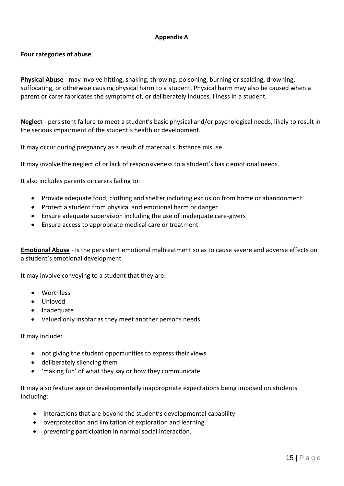# **Appendix A**

#### **Four categories of abuse**

**Physical Abuse** - may involve hitting, shaking, throwing, poisoning, burning or scalding, drowning, suffocating, or otherwise causing physical harm to a student. Physical harm may also be caused when a parent or carer fabricates the symptoms of, or deliberately induces, illness in a student.

**Neglect** - persistent failure to meet a student's basic physical and/or psychological needs, likely to result in the serious impairment of the student's health or development.

It may occur during pregnancy as a result of maternal substance misuse.

It may involve the neglect of or lack of responsiveness to a student's basic emotional needs.

It also includes parents or carers failing to:

- Provide adequate food, clothing and shelter including exclusion from home or abandonment
- Protect a student from physical and emotional harm or danger
- Ensure adequate supervision including the use of inadequate care-givers
- Ensure access to appropriate medical care or treatment

**Emotional Abuse** - Is the persistent emotional maltreatment so as to cause severe and adverse effects on a student's emotional development.

It may involve conveying to a student that they are:

- Worthless
- Unloved
- Inadequate
- Valued only insofar as they meet another persons needs

It may include:

- not giving the student opportunities to express their views
- deliberately silencing them
- 'making fun' of what they say or how they communicate

It may also feature age or developmentally inappropriate expectations being imposed on students including:

- interactions that are beyond the student's developmental capability
- overprotection and limitation of exploration and learning
- preventing participation in normal social interaction.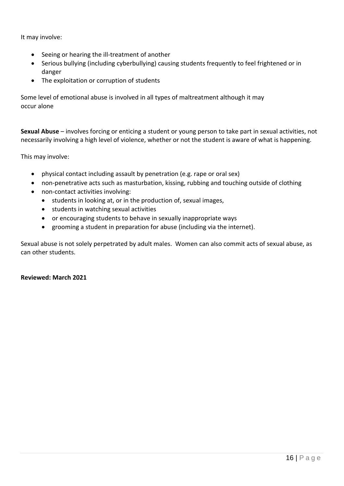It may involve:

- Seeing or hearing the ill-treatment of another
- Serious bullying (including cyberbullying) causing students frequently to feel frightened or in danger
- The exploitation or corruption of students

Some level of emotional abuse is involved in all types of maltreatment although it may occur alone

**Sexual Abuse** – involves forcing or enticing a student or young person to take part in sexual activities, not necessarily involving a high level of violence, whether or not the student is aware of what is happening.

This may involve:

- physical contact including assault by penetration (e.g. rape or oral sex)
- non-penetrative acts such as masturbation, kissing, rubbing and touching outside of clothing
- non-contact activities involving:
	- students in looking at, or in the production of, sexual images,
	- students in watching sexual activities
	- or encouraging students to behave in sexually inappropriate ways
	- grooming a student in preparation for abuse (including via the internet).

Sexual abuse is not solely perpetrated by adult males. Women can also commit acts of sexual abuse, as can other students.

#### **Reviewed: March 2021**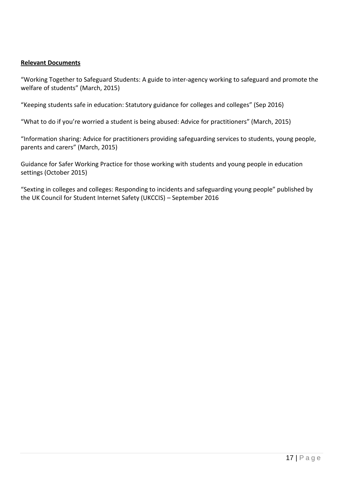#### **Relevant Documents**

"Working Together to Safeguard Students: A guide to inter-agency working to safeguard and promote the welfare of students" (March, 2015)

"Keeping students safe in education: Statutory guidance for colleges and colleges" (Sep 2016)

"What to do if you're worried a student is being abused: Advice for practitioners" (March, 2015)

"Information sharing: Advice for practitioners providing safeguarding services to students, young people, parents and carers" (March, 2015)

Guidance for Safer Working Practice for those working with students and young people in education settings (October 2015)

"Sexting in colleges and colleges: Responding to incidents and safeguarding young people" published by the UK Council for Student Internet Safety (UKCCIS) – September 2016